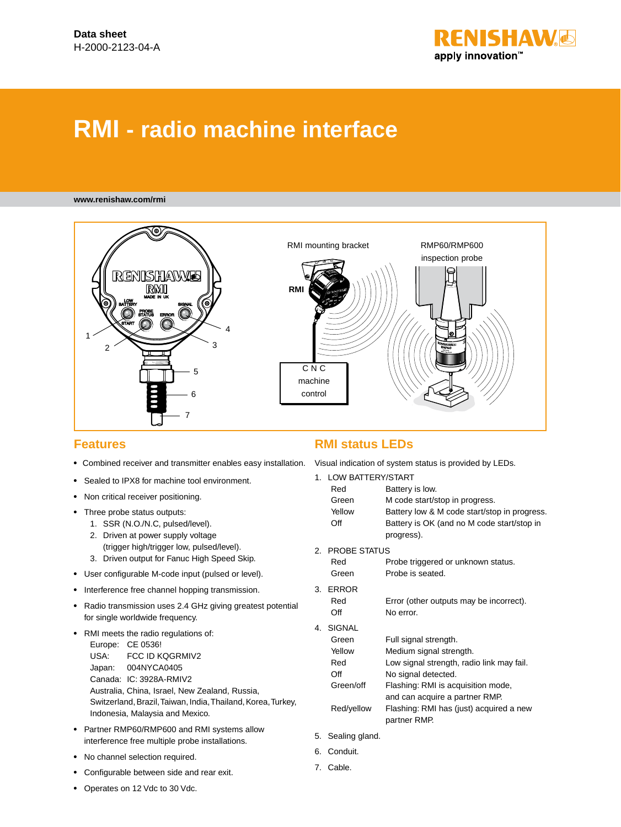

# **RMI - radio machine interface**

#### **www.renishaw.com/rmi**



#### **Features**

- **•**  Combined receiver and transmitter enables easy installation. Visual indication of system status is provided by LEDs.
- **•** Sealed to IPX8 for machine tool environment.
- **•** Non critical receiver positioning.
- **•**  Three probe status outputs:
	- 1. SSR (N.O./N.C, pulsed/level).
	- 2. Driven at power supply voltage (trigger high/trigger low, pulsed/level).
	- 3. Driven output for Fanuc High Speed Skip.
- **•**  User configurable M-code input (pulsed or level).
- **•**  Interference free channel hopping transmission.
- **•**  Radio transmission uses 2.4 GHz giving greatest potential for single worldwide frequency.
- **•**  RMI meets the radio regulations of: Europe: CE 0536! USA: FCC ID KQGRMIV2 Japan: 004NYCA0405 Canada: IC: 3928A-RMIV2 Australia, China, Israel, New Zealand, Russia, Switzerland, Brazil, Taiwan, India, Thailand, Korea, Turkey, Indonesia, Malaysia and Mexico.
- **•**  Partner RMP60/RMP600 and RMI systems allow interference free multiple probe installations.
- **•**  No channel selection required.
- **•**  Configurable between side and rear exit.

# **RMI status LEDs**

|     | 1. LOW BATTERY/START |                                                          |  |
|-----|----------------------|----------------------------------------------------------|--|
|     | Red                  | Battery is low.                                          |  |
|     | Green                | M code start/stop in progress.                           |  |
|     | Yellow               | Battery low & M code start/stop in progress.             |  |
|     | Off                  | Battery is OK (and no M code start/stop in<br>progress). |  |
| 2.5 | <b>PROBE STATUS</b>  |                                                          |  |
|     | Red                  | Probe triggered or unknown status.                       |  |
|     | Green                | Probe is seated.                                         |  |
| 3.  | <b>ERROR</b>         |                                                          |  |
|     | Red                  | Error (other outputs may be incorrect).                  |  |
|     | Off                  | No error.                                                |  |
| 4.  | <b>SIGNAL</b>        |                                                          |  |
|     | Green                | Full signal strength.                                    |  |
|     | Yellow               | Medium signal strength.                                  |  |
|     | Red                  | Low signal strength, radio link may fail.                |  |
|     | Off                  | No signal detected.                                      |  |
|     | Green/off            | Flashing: RMI is acquisition mode,                       |  |
|     |                      | and can acquire a partner RMP.                           |  |
|     | Red/yellow           | Flashing: RMI has (just) acquired a new<br>partner RMP.  |  |
|     | 5. Sealing gland.    |                                                          |  |
| 6.  | Conduit.             |                                                          |  |

7. Cable.

**•**  Operates on 12 Vdc to 30 Vdc.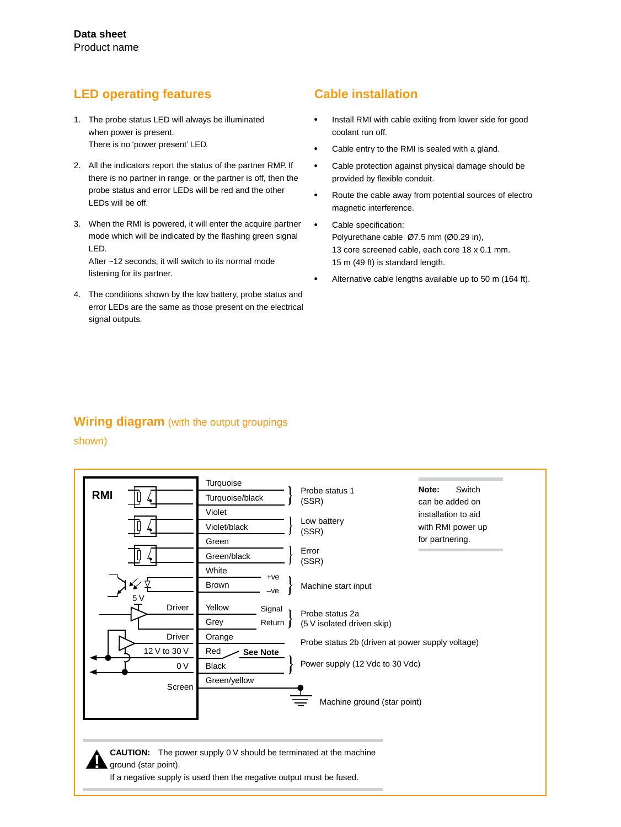# **LED operating features**

- 1. The probe status LED will always be illuminated when power is present. There is no 'power present' LED.
- 2. All the indicators report the status of the partner RMP. If there is no partner in range, or the partner is off, then the probe status and error LEDs will be red and the other LEDs will be off.
- 3. When the RMI is powered, it will enter the acquire partner mode which will be indicated by the flashing green signal LED.

After ~12 seconds, it will switch to its normal mode listening for its partner.

4. The conditions shown by the low battery, probe status and error LEDs are the same as those present on the electrical signal outputs.

# **Cable installation**

- **•** Install RMI with cable exiting from lower side for good coolant run off.
- **•** Cable entry to the RMI is sealed with a gland.
- **•** Cable protection against physical damage should be provided by flexible conduit.
- **•** Route the cable away from potential sources of electro magnetic interference.
- **•** Cable specification: Polyurethane cable Ø7.5 mm (Ø0.29 in), 13 core screened cable, each core 18 x 0.1 mm. 15 m (49 ft) is standard length.
- **•** Alternative cable lengths available up to 50 m (164 ft).

### **Wiring diagram** (with the output groupings

#### shown)

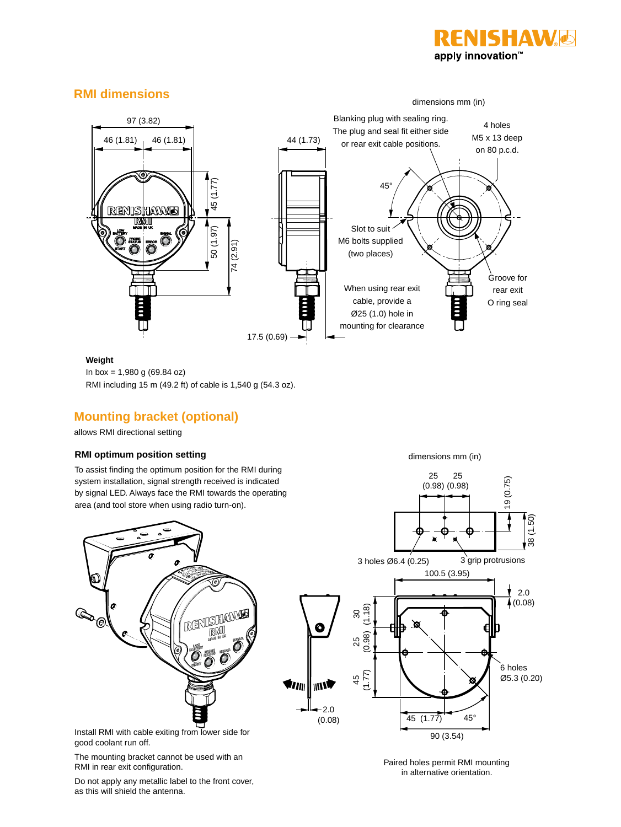

# **RMI dimensions**



#### **Weight**

In box = 1,980 g (69.84 oz)

RMI including 15 m (49.2 ft) of cable is 1,540 g (54.3 oz).

# **Mounting bracket (optional)**

allows RMI directional setting

#### **RMI optimum position setting**

To assist finding the optimum position for the RMI during system installation, signal strength received is indicated by signal LED. Always face the RMI towards the operating area (and tool store when using radio turn-on).



Install RMI with cable exiting from lower side for good coolant run off.

The mounting bracket cannot be used with an RMI in rear exit configuration.

19 (0.75) (0.98) (0.98) 38 (1.50) 3 grip protrusions 3 holes Ø6.4 (0.25) 100.5 (3.95) 2.0  $\sqrt{4}$  (0.08) (1.18) 30 25 (0.98) 6 holes 45 (1.77) Ø5.3 (0.20) **Trilli** | III N  $-2.0$  $45 (1.77) 45$ ° (0.08) 90 (3.54)

> Paired holes permit RMI mounting in alternative orientation.

Do not apply any metallic label to the front cover, as this will shield the antenna.

dimensions mm (in)

25

25